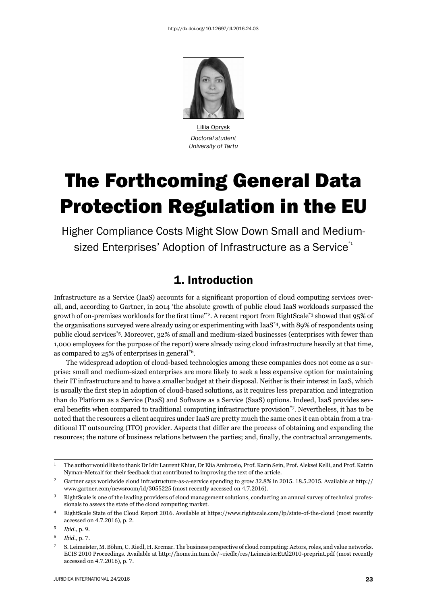

Liliia Oprysk *Doctoral student University of Tartu*

# The Forthcoming General Data Protection Regulation in the EU

Higher Compliance Costs Might Slow Down Small and Mediumsized Enterprises' Adoption of Infrastructure as a Service<sup>\*1</sup>

### 1. Introduction

Infrastructure as a Service (IaaS) accounts for a significant proportion of cloud computing services overall, and, according to Gartner, in 2014 'the absolute growth of public cloud IaaS workloads surpassed the growth of on-premises workloads for the first time'\*2. A recent report from RightScale<sup>\*3</sup> showed that 95% of the organisations surveyed were already using or experimenting with IaaS\*4, with 89% of respondents using public cloud services\*5. Moreover, 32% of small and medium-sized businesses (enterprises with fewer than 1,000 employees for the purpose of the report) were already using cloud infrastructure heavily at that time, as compared to 25% of enterprises in general\*6.

The widespread adoption of cloud-based technologies among these companies does not come as a surprise: small and medium-sized enterprises are more likely to seek a less expensive option for maintaining their IT infrastructure and to have a smaller budget at their disposal. Neither is their interest in IaaS, which is usually the first step in adoption of cloud-based solutions, as it requires less preparation and integration than do Platform as a Service (PaaS) and Software as a Service (SaaS) options. Indeed, IaaS provides several benefits when compared to traditional computing infrastructure provision\*7. Nevertheless, it has to be noted that the resources a client acquires under IaaS are pretty much the same ones it can obtain from a traditional IT outsourcing (ITO) provider. Aspects that differ are the process of obtaining and expanding the resources; the nature of business relations between the parties; and, finally, the contractual arrangements.

<sup>&</sup>lt;sup>1</sup> The author would like to thank Dr Idir Laurent Khiar, Dr Elia Ambrosio, Prof. Karin Sein, Prof. Aleksei Kelli, and Prof. Katrin Nyman-Metcalf for their feedback that contributed to improving the text of the article.

<sup>&</sup>lt;sup>2</sup> Gartner says worldwide cloud infrastructure-as-a-service spending to grow 32.8% in 2015. 18.5.2015. Available at http:// www.gartner.com/newsroom/id/3055225 (most recently accessed on 4.7.2016).

<sup>&</sup>lt;sup>3</sup> RightScale is one of the leading providers of cloud management solutions, conducting an annual survey of technical professionals to assess the state of the cloud computing market.

<sup>&</sup>lt;sup>4</sup> RightScale State of the Cloud Report 2016. Available at https://www.rightscale.com/lp/state-of-the-cloud (most recently accessed on 4.7.2016), p. 2.

<sup>ɶ</sup> *Ibid.*, p. ɺ.

<sup>ɷ</sup> *Ibid.*, p. ɸ.

<sup>ɸ</sup> S. Leimeister, M. Böhm, C. Riedl, H. Krcmar. The business perspective of cloud computing: Actors, roles, and value networks. ECIS 2010 Proceedings. Available at http://home.in.tum.de/~riedlc/res/LeimeisterEtAl2010-preprint.pdf (most recently accessed on 4.7.2016), p. 7.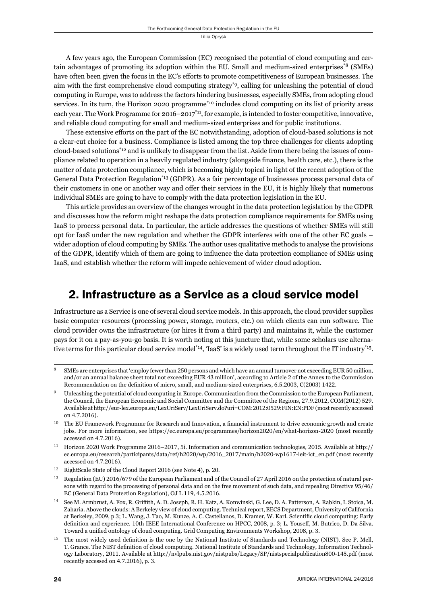A few years ago, the European Commission (EC) recognised the potential of cloud computing and certain advantages of promoting its adoption within the EU. Small and medium-sized enterprises\*8 (SMEs) have often been given the focus in the EC's efforts to promote competitiveness of European businesses. The aim with the first comprehensive cloud computing strategy<sup>\*9</sup>, calling for unleashing the potential of cloud computing in Europe, was to address the factors hindering businesses, especially SMEs, from adopting cloud services. In its turn, the Horizon 2020 programme\*10 includes cloud computing on its list of priority areas each year. The Work Programme for 2016–2017<sup>\*11</sup>, for example, is intended to foster competitive, innovative, and reliable cloud computing for small and medium-sized enterprises and for public institutions.

These extensive efforts on the part of the EC notwithstanding, adoption of cloud-based solutions is not a clear-cut choice for a business. Compliance is listed among the top three challenges for clients adopting cloud-based solutions\*12 and is unlikely to disappear from the list. Aside from there being the issues of compliance related to operation in a heavily regulated industry (alongside finance, health care, etc.), there is the matter of data protection compliance, which is becoming highly topical in light of the recent adoption of the General Data Protection Regulation\*13 (GDPR). As a fair percentage of businesses process personal data of their customers in one or another way and offer their services in the EU, it is highly likely that numerous individual SMEs are going to have to comply with the data protection legislation in the EU.

This article provides an overview of the changes wrought in the data protection legislation by the GDPR and discusses how the reform might reshape the data protection compliance requirements for SMEs using IaaS to process personal data. In particular, the article addresses the questions of whether SMEs will still opt for IaaS under the new regulation and whether the GDPR interferes with one of the other EC goals – wider adoption of cloud computing by SMEs. The author uses qualitative methods to analyse the provisions of the GDPR, identify which of them are going to influence the data protection compliance of SMEs using IaaS, and establish whether the reform will impede achievement of wider cloud adoption.

### 2. Infrastructure as a Service as a cloud service model

Infrastructure as a Service is one of several cloud service models. In this approach, the cloud provider supplies basic computer resources (processing power, storage, routers, etc.) on which clients can run software. The cloud provider owns the infrastructure (or hires it from a third party) and maintains it, while the customer pays for it on a pay-as-you-go basis. It is worth noting at this juncture that, while some scholars use alternative terms for this particular cloud service model\*14, 'IaaS' is a widely used term throughout the IT industry\*15.

SMEs are enterprises that 'employ fewer than 250 persons and which have an annual turnover not exceeding EUR 50 million, and/or an annual balance sheet total not exceeding EUR 43 million', according to Article 2 of the Annex to the Commission Recommendation on the definition of micro, small, and medium-sized enterprises, 6.5.2003, C(2003) 1422.

Unleashing the potential of cloud computing in Europe. Communication from the Commission to the European Parliament, the Council, the European Economic and Social Committee and the Committee of the Regions, 27.9.2012, COM(2012) 529. Available at http://eur-lex.europa.eu/LexUriServ/LexUriServ.do?uri=COM:2012:0529:FIN:EN:PDF (most recently accessed on  $4.7.2016$ ).

 $10$  The EU Framework Programme for Research and Innovation, a financial instrument to drive economic growth and create jobs. For more information, see https://ec.europa.eu/programmes/horizon2020/en/what-horizon-2020 (most recently accessed on 4.7.2016).

<sup>&</sup>lt;sup>11</sup> Horizon 2020 Work Programme 2016–2017, 5i. Information and communication technologies, 2015. Available at http:// ec.europa.eu/research/participants/data/ref/h2020/wp/2016 2017/main/h2020-wp1617-leit-ict\_en.pdf (most recently accessed on 4.7.2016).

<sup>&</sup>lt;sup>12</sup> RightScale State of the Cloud Report 2016 (see Note 4), p. 20.

<sup>&</sup>lt;sup>13</sup> Regulation (EU) 2016/679 of the European Parliament and of the Council of 27 April 2016 on the protection of natural persons with regard to the processing of personal data and on the free movement of such data, and repealing Directive 95/46/ EC (General Data Protection Regulation), OJ L 119, 4.5.2016.

<sup>14</sup> See M. Armbrust, A. Fox, R. Griffith, A. D. Joseph, R. H. Katz, A. Konwinski, G. Lee, D. A. Patterson, A. Rabkin, I. Stoica, M. Zaharia. Above the clouds: A Berkeley view of cloud computing. Technical report, EECS Department, University of California at Berkeley, 2009, p 3; L. Wang, J. Tao, M. Kunze, A. C. Castellanos, D. Kramer, W. Karl. Scientific cloud computing: Early definition and experience. 10th IEEE International Conference on HPCC, 2008, p. 3; L. Youseff, M. Butrico, D. Da Silva. Toward a unified ontology of cloud computing. Grid Computing Environments Workshop, 2008, p. 3.

 $15$  The most widely used definition is the one by the National Institute of Standards and Technology (NIST). See P. Mell, T. Grance. The NIST definition of cloud computing. National Institute of Standards and Technology, Information Technology Laboratory, 2011. Available at http://nvlpubs.nist.gov/nistpubs/Legacy/SP/nistspecialpublication800-145.pdf (most recently accessed on 4.7.2016), p. 3.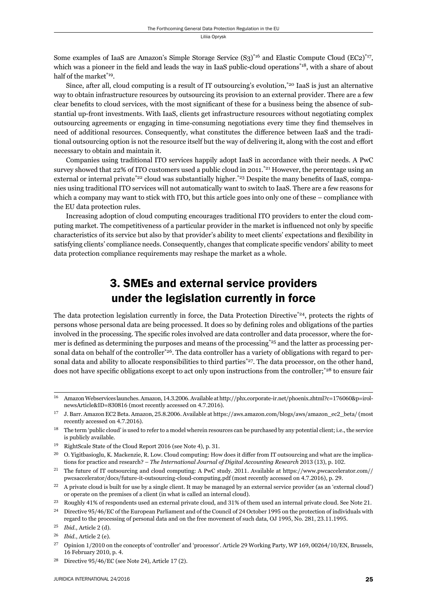Some examples of IaaS are Amazon's Simple Storage Service  $(S_3)^{*_{16}}$  and Elastic Compute Cloud (EC2)<sup>\*17</sup>, which was a pioneer in the field and leads the way in IaaS public-cloud operations\*<sup>18</sup>, with a share of about half of the market<sup>\*19</sup>.

Since, after all, cloud computing is a result of IT outsourcing's evolution,\*20 IaaS is just an alternative way to obtain infrastructure resources by outsourcing its provision to an external provider. There are a few clear benefits to cloud services, with the most significant of these for a business being the absence of substantial up-front investments. With IaaS, clients get infrastructure resources without negotiating complex outsourcing agreements or engaging in time-consuming negotiations every time they find themselves in need of additional resources. Consequently, what constitutes the difference between IaaS and the traditional outsourcing option is not the resource itself but the way of delivering it, along with the cost and effort necessary to obtain and maintain it.

Companies using traditional ITO services happily adopt IaaS in accordance with their needs. A PwC survey showed that 22% of ITO customers used a public cloud in 2011.<sup>\*21</sup> However, the percentage using an external or internal private<sup>\*22</sup> cloud was substantially higher.<sup>\*23</sup> Despite the many benefits of IaaS, companies using traditional ITO services will not automatically want to switch to IaaS. There are a few reasons for which a company may want to stick with ITO, but this article goes into only one of these – compliance with the EU data protection rules.

Increasing adoption of cloud computing encourages traditional ITO providers to enter the cloud computing market. The competitiveness of a particular provider in the market is influenced not only by specific characteristics of its service but also by that provider's ability to meet clients' expectations and flexibility in satisfying clients' compliance needs. Consequently, changes that complicate specific vendors' ability to meet data protection compliance requirements may reshape the market as a whole.

## 3. SMEs and external service providers under the legislation currently in force

The data protection legislation currently in force, the Data Protection Directive\*24, protects the rights of persons whose personal data are being processed. It does so by defining roles and obligations of the parties involved in the processing. The specific roles involved are data controller and data processor, where the former is defined as determining the purposes and means of the processing<sup>\*25</sup> and the latter as processing personal data on behalf of the controller<sup>\*26</sup>. The data controller has a variety of obligations with regard to personal data and ability to allocate responsibilities to third parties<sup>\*27</sup>. The data processor, on the other hand, does not have specific obligations except to act only upon instructions from the controller;<sup>\*28</sup> to ensure fair

<sup>&</sup>lt;sup>16</sup> Amazon Webservices launches. Amazon, 14.3.2006. Available at http://phx.corporate-ir.net/phoenix.zhtml?c=176060&p=irolnewsArticle&ID=830816 (most recently accessed on 4.7.2016).

<sup>&</sup>lt;sup>17</sup> J. Barr. Amazon EC2 Beta. Amazon, 25.8.2006. Available at https://aws.amazon.com/blogs/aws/amazon\_ec2\_beta/ (most recently accessed on 4.7.2016).

<sup>&</sup>lt;sup>18</sup> The term 'public cloud' is used to refer to a model wherein resources can be purchased by any potential client; i.e., the service is publicly available.

<sup>&</sup>lt;sup>19</sup> RightScale State of the Cloud Report 2016 (see Note 4), p. 31.

 $^{20}$  O. Yigitbasioglu, K. Mackenzie, R. Low. Cloud computing: How does it differ from IT outsourcing and what are the implications for practice and research? – *The International Journal of Digital Accounting Research* 2013 (13), p. 102.

<sup>&</sup>lt;sup>21</sup> The future of IT outsourcing and cloud computing: A PwC study. 2011. Available at https://www.pwcaccelerator.com// pwcsaccelerator/docs/future-it-outsourcing-cloud-computing.pdf (most recently accessed on 4.7.2016), p. 29.

 $^{22}$  A private cloud is built for use by a single client. It may be managed by an external service provider (as an 'external cloud') or operate on the premises of a client (in what is called an internal cloud).

<sup>&</sup>lt;sup>23</sup> Roughly 41% of respondents used an external private cloud, and 31% of them used an internal private cloud. See Note 21. <sup>24</sup> Directive 95/46/EC of the European Parliament and of the Council of 24 October 1995 on the protection of individuals with

regard to the processing of personal data and on the free movement of such data, OJ 1995, No. 281, 23.11.1995.

ɳɶ *Ibid.*, Article ɳ (d).

<sup>&</sup>lt;sup>26</sup> *Ibid.*, Article 2 (e).

<sup>&</sup>lt;sup>27</sup> Opinion 1/2010 on the concepts of 'controller' and 'processor'. Article 29 Working Party, WP 169, 00264/10/EN, Brussels, 16 February 2010, p. 4.

 $28$  Directive  $95/46/EC$  (see Note 24), Article 17 (2).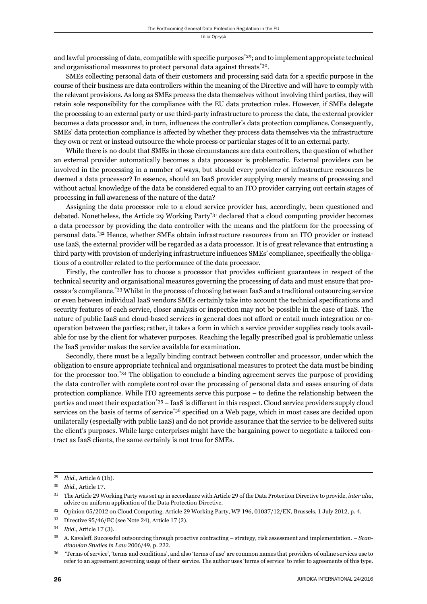and lawful processing of data, compatible with specific purposes<sup>\*29</sup>; and to implement appropriate technical and organisational measures to protect personal data against threats\*30.

SMEs collecting personal data of their customers and processing said data for a specific purpose in the course of their business are data controllers within the meaning of the Directive and will have to comply with the relevant provisions. As long as SMEs process the data themselves without involving third parties, they will retain sole responsibility for the compliance with the EU data protection rules. However, if SMEs delegate the processing to an external party or use third-party infrastructure to process the data, the external provider becomes a data processor and, in turn, influences the controller's data protection compliance. Consequently, SMEs' data protection compliance is affected by whether they process data themselves via the infrastructure they own or rent or instead outsource the whole process or particular stages of it to an external party.

While there is no doubt that SMEs in those circumstances are data controllers, the question of whether an external provider automatically becomes a data processor is problematic. External providers can be involved in the processing in a number of ways, but should every provider of infrastructure resources be deemed a data processor? In essence, should an IaaS provider supplying merely means of processing and without actual knowledge of the data be considered equal to an ITO provider carrying out certain stages of processing in full awareness of the nature of the data?

Assigning the data processor role to a cloud service provider has, accordingly, been questioned and debated. Nonetheless, the Article 29 Working Party\*31 declared that a cloud computing provider becomes a data processor by providing the data controller with the means and the platform for the processing of personal data.\*32 Hence, whether SMEs obtain infrastructure resources from an ITO provider or instead use IaaS, the external provider will be regarded as a data processor. It is of great relevance that entrusting a third party with provision of underlying infrastructure influences SMEs' compliance, specifically the obligations of a controller related to the performance of the data processor.

Firstly, the controller has to choose a processor that provides sufficient guarantees in respect of the technical security and organisational measures governing the processing of data and must ensure that processor's compliance.\*33 Whilst in the process of choosing between IaaS and a traditional outsourcing service or even between individual IaaS vendors SMEs certainly take into account the technical specifications and security features of each service, closer analysis or inspection may not be possible in the case of IaaS. The nature of public IaaS and cloud-based services in general does not afford or entail much integration or cooperation between the parties; rather, it takes a form in which a service provider supplies ready tools available for use by the client for whatever purposes. Reaching the legally prescribed goal is problematic unless the IaaS provider makes the service available for examination.

Secondly, there must be a legally binding contract between controller and processor, under which the obligation to ensure appropriate technical and organisational measures to protect the data must be binding for the processor too.\*34 The obligation to conclude a binding agreement serves the purpose of providing the data controller with complete control over the processing of personal data and eases ensuring of data protection compliance. While ITO agreements serve this purpose – to define the relationship between the parties and meet their expectation<sup>\*35</sup> – IaaS is different in this respect. Cloud service providers supply cloud services on the basis of terms of service<sup>\*36</sup> specified on a Web page, which in most cases are decided upon unilaterally (especially with public IaaS) and do not provide assurance that the service to be delivered suits the client's purposes. While large enterprises might have the bargaining power to negotiate a tailored contract as IaaS clients, the same certainly is not true for SMEs.

<sup>&</sup>lt;sup>29</sup> *Ibid.*, Article 6 (1b).

<sup>30</sup> *Ibid.*, Article 17.

<sup>&</sup>lt;sup>31</sup> The Article 29 Working Party was set up in accordance with Article 29 of the Data Protection Directive to provide, *inter alia*, advice on uniform application of the Data Protection Directive.

<sup>&</sup>lt;sup>32</sup> Opinion 05/2012 on Cloud Computing. Article 29 Working Party, WP 196, 01037/12/EN, Brussels, 1 July 2012, p. 4.

 $33$  Directive  $95/46/EC$  (see Note 24), Article 17 (2).

<sup>34</sup> *Ibid.*, Article 17 (3).

ɴɶ A. Kavaleff . Successful outsourcing through proactive contracting – strategy, risk assessment and implementation. – *Scandinavian Studies in Law 2006/49, p. 222.* 

<sup>&</sup>lt;sup>36</sup> "Terms of service', 'terms and conditions', and also 'terms of use' are common names that providers of online services use to refer to an agreement governing usage of their service. The author uses 'terms of service' to refer to agreements of this type.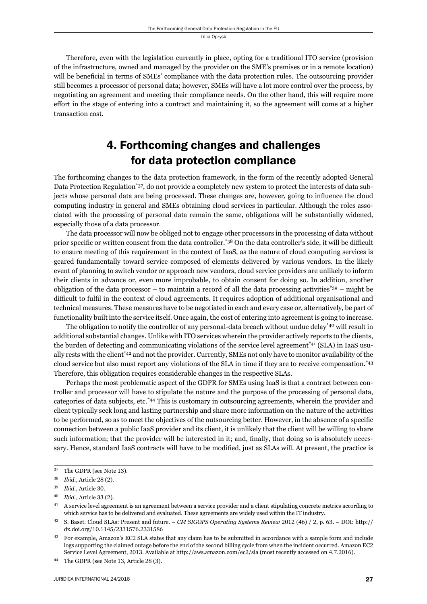Therefore, even with the legislation currently in place, opting for a traditional ITO service (provision of the infrastructure, owned and managed by the provider on the SME's premises or in a remote location) will be beneficial in terms of SMEs' compliance with the data protection rules. The outsourcing provider still becomes a processor of personal data; however, SMEs will have a lot more control over the process, by negotiating an agreement and meeting their compliance needs. On the other hand, this will require more effort in the stage of entering into a contract and maintaining it, so the agreement will come at a higher transaction cost.

# 4. Forthcoming changes and challenges for data protection compliance

The forthcoming changes to the data protection framework, in the form of the recently adopted General Data Protection Regulation\*37, do not provide a completely new system to protect the interests of data subjects whose personal data are being processed. These changes are, however, going to influence the cloud computing industry in general and SMEs obtaining cloud services in particular. Although the roles associated with the processing of personal data remain the same, obligations will be substantially widened, especially those of a data processor.

The data processor will now be obliged not to engage other processors in the processing of data without prior specific or written consent from the data controller.<sup>\*38</sup> On the data controller's side, it will be difficult to ensure meeting of this requirement in the context of IaaS, as the nature of cloud computing services is geared fundamentally toward service composed of elements delivered by various vendors. In the likely event of planning to switch vendor or approach new vendors, cloud service providers are unlikely to inform their clients in advance or, even more improbable, to obtain consent for doing so. In addition, another obligation of the data processor – to maintain a record of all the data processing activities\* $39$  – might be difficult to fulfil in the context of cloud agreements. It requires adoption of additional organisational and technical measures. These measures have to be negotiated in each and every case or, alternatively, be part of functionality built into the service itself. Once again, the cost of entering into agreement is going to increase.

The obligation to notify the controller of any personal-data breach without undue delay<sup>\*40</sup> will result in additional substantial changes. Unlike with ITO services wherein the provider actively reports to the clients, the burden of detecting and communicating violations of the service level agreement\*41 (SLA) in IaaS usually rests with the client<sup>\*42</sup> and not the provider. Currently, SMEs not only have to monitor availability of the cloud service but also must report any violations of the SLA in time if they are to receive compensation.\*43 Therefore, this obligation requires considerable changes in the respective SLAs.

Perhaps the most problematic aspect of the GDPR for SMEs using IaaS is that a contract between controller and processor will have to stipulate the nature and the purpose of the processing of personal data, categories of data subjects, etc.\*44 This is customary in outsourcing agreements, wherein the provider and client typically seek long and lasting partnership and share more information on the nature of the activities to be performed, so as to meet the objectives of the outsourcing better. However, in the absence of a specific connection between a public IaaS provider and its client, it is unlikely that the client will be willing to share such information; that the provider will be interested in it; and, finally, that doing so is absolutely necessary. Hence, standard IaaS contracts will have to be modified, just as SLAs will. At present, the practice is

<sup>&</sup>lt;sup>37</sup> The GDPR (see Note 13).

<sup>38</sup> *Ibid.*, Article 28 (2).

<sup>&</sup>lt;sup>39</sup> *Ibid.*, Article 30.

<sup>40</sup> *Ibid.*, Article 33 (2).

<sup>&</sup>lt;sup>41</sup> A service level agreement is an agreement between a service provider and a client stipulating concrete metrics according to which service has to be delivered and evaluated. These agreements are widely used within the IT industry.

<sup>&</sup>lt;sup>42</sup> S. Baset. Cloud SLAs: Present and future. – *CM SIGOPS Operating Systems Review* 2012 (46) / 2, p. 63. – DOI: http:// dx.doi.org/10.1145/2331576.2331586

<sup>&</sup>lt;sup>43</sup> For example, Amazon's EC2 SLA states that any claim has to be submitted in accordance with a sample form and include logs supporting the claimed outage before the end of the second billing cycle from when the incident occurred. Amazon EC2 Service Level Agreement, 2013. Available at http://aws.amazon.com/ec2/sla (most recently accessed on 4.7.2016).

<sup>&</sup>lt;sup>44</sup> The GDPR (see Note 13, Article 28 (3).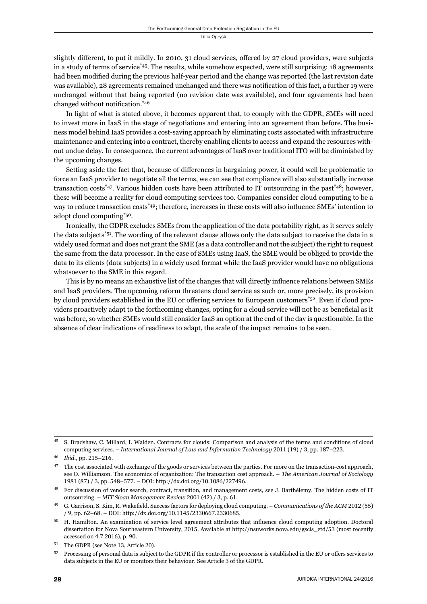slightly different, to put it mildly. In 2010, 31 cloud services, offered by 27 cloud providers, were subjects in a study of terms of service\*45. The results, while somehow expected, were still surprising: 18 agreements had been modified during the previous half-year period and the change was reported (the last revision date was available), 28 agreements remained unchanged and there was notification of this fact, a further 19 were unchanged without that being reported (no revision date was available), and four agreements had been changed without notification. $*46$ 

In light of what is stated above, it becomes apparent that, to comply with the GDPR, SMEs will need to invest more in IaaS in the stage of negotiations and entering into an agreement than before. The business model behind IaaS provides a cost-saving approach by eliminating costs associated with infrastructure maintenance and entering into a contract, thereby enabling clients to access and expand the resources without undue delay. In consequence, the current advantages of IaaS over traditional ITO will be diminished by the upcoming changes.

Setting aside the fact that, because of differences in bargaining power, it could well be problematic to force an IaaS provider to negotiate all the terms, we can see that compliance will also substantially increase transaction costs\*47. Various hidden costs have been attributed to IT outsourcing in the past\*48; however, these will become a reality for cloud computing services too. Companies consider cloud computing to be a way to reduce transaction costs<sup>\*49</sup>; therefore, increases in these costs will also influence SMEs' intention to adopt cloud computing\*50.

Ironically, the GDPR excludes SMEs from the application of the data portability right, as it serves solely the data subjects\*51. The wording of the relevant clause allows only the data subject to receive the data in a widely used format and does not grant the SME (as a data controller and not the subject) the right to request the same from the data processor. In the case of SMEs using IaaS, the SME would be obliged to provide the data to its clients (data subjects) in a widely used format while the IaaS provider would have no obligations whatsoever to the SME in this regard.

This is by no means an exhaustive list of the changes that will directly influence relations between SMEs and IaaS providers. The upcoming reform threatens cloud service as such or, more precisely, its provision by cloud providers established in the EU or offering services to European customers<sup>\*52</sup>. Even if cloud providers proactively adapt to the forthcoming changes, opting for a cloud service will not be as beneficial as it was before, so whether SMEs would still consider IaaS an option at the end of the day is questionable. In the absence of clear indications of readiness to adapt, the scale of the impact remains to be seen.

ɵɶ S. Bradshaw, C. Millard, I. Walden. Contracts for clouds: Comparison and analysis of the terms and conditions of cloud computing services. – *International Journal of Law and Information Technology* 2011 (19) / 3, pp. 187–223.

<sup>46</sup> *Ibid.*, pp. 215-216.

<sup>&</sup>lt;sup>47</sup> The cost associated with exchange of the goods or services between the parties. For more on the transaction-cost approach, see O. Williamson. The economics of organization: The transaction cost approach. – *The American Journal of Sociology* 1981 (87) / 3, pp. 548-577. – DOI: http://dx.doi.org/10.1086/227496.

<sup>&</sup>lt;sup>48</sup> For discussion of vendor search, contract, transition, and management costs, see J. Barthélemy. The hidden costs of IT outsourcing. – *MIT Sloan Management Review* 2001 (42) / 3, p. 61.

G. Garrison, S. Kim, R. Wakefield. Success factors for deploying cloud computing. – *Communications of the ACM* 2012 (55) / 9, pp. 62–68. – DOI: http://dx.doi.org/10.1145/2330667.2330685.

<sup>&</sup>lt;sup>50</sup> H. Hamilton. An examination of service level agreement attributes that influence cloud computing adoption. Doctoral dissertation for Nova Southeastern University, 2015. Available at http://nsuworks.nova.edu/gscis\_etd/53 (most recently accessed on 4.7.2016), p. 90.

<sup>&</sup>lt;sup>51</sup> The GDPR (see Note 13, Article 20).

<sup>&</sup>lt;sup>52</sup> Processing of personal data is subject to the GDPR if the controller or processor is established in the EU or offers services to data subjects in the EU or monitors their behaviour. See Article 3 of the GDPR.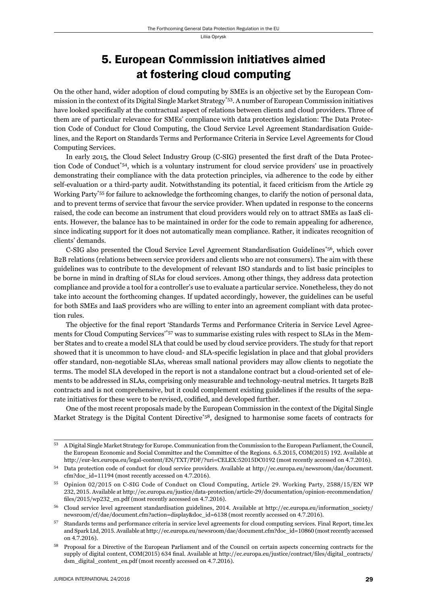### 5. European Commission initiatives aimed at fostering cloud computing

On the other hand, wider adoption of cloud computing by SMEs is an objective set by the European Commission in the context of its Digital Single Market Strategy\*53*.* A number of European Commission initiatives have looked specifically at the contractual aspect of relations between clients and cloud providers. Three of them are of particular relevance for SMEs' compliance with data protection legislation: The Data Protection Code of Conduct for Cloud Computing, the Cloud Service Level Agreement Standardisation Guidelines, and the Report on Standards Terms and Performance Criteria in Service Level Agreements for Cloud Computing Services.

In early 2015, the Cloud Select Industry Group (C-SIG) presented the first draft of the Data Protection Code of Conduct\*54, which is a voluntary instrument for cloud service providers' use in proactively demonstrating their compliance with the data protection principles, via adherence to the code by either self-evaluation or a third-party audit. Notwithstanding its potential, it faced criticism from the Article 29 Working Party\*55 for failure to acknowledge the forthcoming changes, to clarify the notion of personal data, and to prevent terms of service that favour the service provider. When updated in response to the concerns raised, the code can become an instrument that cloud providers would rely on to attract SMEs as IaaS clients. However, the balance has to be maintained in order for the code to remain appealing for adherence, since indicating support for it does not automatically mean compliance. Rather, it indicates recognition of clients' demands.

C-SIG also presented the Cloud Service Level Agreement Standardisation Guidelines\*56, which cover B2B relations (relations between service providers and clients who are not consumers). The aim with these guidelines was to contribute to the development of relevant ISO standards and to list basic principles to be borne in mind in drafting of SLAs for cloud services. Among other things, they address data protection compliance and provide a tool for a controller's use to evaluate a particular service. Nonetheless, they do not take into account the forthcoming changes. If updated accordingly, however, the guidelines can be useful for both SMEs and IaaS providers who are willing to enter into an agreement compliant with data protection rules.

The objective for the final report 'Standards Terms and Performance Criteria in Service Level Agreements for Cloud Computing Services'\*57 was to summarise existing rules with respect to SLAs in the Member States and to create a model SLA that could be used by cloud service providers. The study for that report showed that it is uncommon to have cloud- and SLA-specific legislation in place and that global providers offer standard, non-negotiable SLAs, whereas small national providers may allow clients to negotiate the terms. The model SLA developed in the report is not a standalone contract but a cloud-oriented set of elements to be addressed in SLAs, comprising only measurable and technology-neutral metrics. It targets B2B contracts and is not comprehensive, but it could complement existing guidelines if the results of the separate initiatives for these were to be revised, codified, and developed further.

One of the most recent proposals made by the European Commission in the context of the Digital Single Market Strategy is the Digital Content Directive<sup>\*58</sup>, designed to harmonise some facets of contracts for

ɶɴ A Digital Single Market Strategy for Europe. Communication from the Commission to the European Parliament, the Council, the European Economic and Social Committee and the Committee of the Regions. 6.5.2015, COM(2015) 192. Available at http://eur-lex.europa.eu/legal-content/EN/TXT/PDF/?uri=CELEX:52015DC0192 (most recently accessed on 4.7.2016).

ɶɵ Data protection code of conduct for cloud service providers. Available at http://ec.europa.eu/newsroom/dae/document.  $cfm?doc$   $id=11194$  (most recently accessed on 4.7.2016).

Opinion 02/2015 on C-SIG Code of Conduct on Cloud Computing, Article 29. Working Party, 2588/15/EN WP 232, 2015. Available at http://ec.europa.eu/justice/data-protection/article-29/documentation/opinion-recommendation/ files/ $2015$ /wp $232$  en.pdf (most recently accessed on 4.7.2016).

Cloud service level agreement standardisation guidelines, 2014. Available at http://ec.europa.eu/information\_society/ newsroom/cf/dae/document.cfm?action=display&doc\_id=6138 (most recently accessed on 4.7.2016).

<sup>57</sup> Standards terms and performance criteria in service level agreements for cloud computing services. Final Report, time.lex and Spark Ltd, 2015. Available at http://ec.europa.eu/newsroom/dae/document.cfm?doc\_id=10860 (most recently accessed on 4.7.2016).

<sup>58</sup> Proposal for a Directive of the European Parliament and of the Council on certain aspects concerning contracts for the supply of digital content, COM(2015) 634 final. Available at http://ec.europa.eu/justice/contract/files/digital\_contracts/ dsm\_digital\_content\_en.pdf (most recently accessed on 4.7.2016).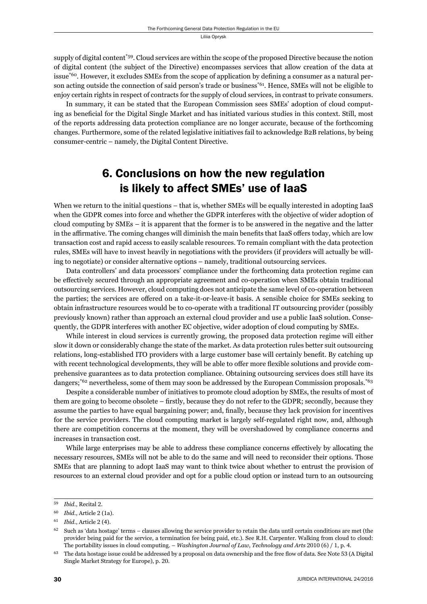supply of digital content\*59. Cloud services are within the scope of the proposed Directive because the notion of digital content (the subject of the Directive) encompasses services that allow creation of the data at issue<sup>\*60</sup>. However, it excludes SMEs from the scope of application by defining a consumer as a natural person acting outside the connection of said person's trade or business\*61. Hence, SMEs will not be eligible to enjoy certain rights in respect of contracts for the supply of cloud services, in contrast to private consumers.

In summary, it can be stated that the European Commission sees SMEs' adoption of cloud computing as beneficial for the Digital Single Market and has initiated various studies in this context. Still, most of the reports addressing data protection compliance are no longer accurate, be cause of the forthcoming changes. Furthermore, some of the related legislative initiatives fail to acknowledge B2B relations, by being consumer-centric – namely, the Digital Content Directive.

### 6. Conclusions on how the new regulation is likely to affect SMEs' use of IaaS

When we return to the initial questions – that is, whether SMEs will be equally interested in adopting IaaS when the GDPR comes into force and whether the GDPR interferes with the objective of wider adoption of cloud computing by SMEs – it is apparent that the former is to be answered in the negative and the latter in the affirmative. The coming changes will diminish the main benefits that IaaS offers today, which are low transaction cost and rapid access to easily scalable resources. To remain compliant with the data protection rules, SMEs will have to invest heavily in negotiations with the providers (if providers will actually be willing to negotiate) or consider alternative options – namely, traditional outsourcing services.

Data controllers' and data processors' compliance under the forthcoming data protection regime can be effectively secured through an appropriate agreement and co-operation when SMEs obtain traditional outsourcing services. However, cloud computing does not anticipate the same level of co-operation between the parties; the services are offered on a take-it-or-leave-it basis. A sensible choice for SMEs seeking to obtain infrastructure resources would be to co-operate with a traditional IT outsourcing provider (possibly previously known) rather than approach an external cloud provider and use a public IaaS solution. Consequently, the GDPR interferes with another EC objective, wider adoption of cloud computing by SMEs.

While interest in cloud services is currently growing, the proposed data protection regime will either slow it down or considerably change the state of the market. As data protection rules better suit outsourcing relations, long-established ITO providers with a large customer base will certainly benefit. By catching up with recent technological developments, they will be able to offer more flexible solutions and provide comprehensive guarantees as to data protection compliance. Obtaining outsourcing services does still have its dangers;<sup>\*62</sup> nevertheless, some of them may soon be addressed by the European Commission proposals.<sup>\*63</sup>

Despite a considerable number of initiatives to promote cloud adoption by SMEs, the results of most of them are going to become obsolete – firstly, because they do not refer to the GDPR; secondly, because they assume the parties to have equal bargaining power; and, finally, because they lack provision for incentives for the service providers. The cloud computing market is largely self-regulated right now, and, although there are competition concerns at the moment, they will be overshadowed by compliance concerns and increases in transaction cost.

While large enterprises may be able to address these compliance concerns effectively by allocating the necessary resources, SMEs will not be able to do the same and will need to reconsider their options. Those SMEs that are planning to adopt IaaS may want to think twice about whether to entrust the provision of resources to an external cloud provider and opt for a public cloud option or instead turn to an outsourcing

<sup>&</sup>lt;sup>59</sup> *Ibid.*, Recital 2.

<sup>&</sup>lt;sup>60</sup> *Ibid.*, Article 2 (1a).

<sup>&</sup>lt;sup>61</sup> *Ibid.*, Article 2 (4).

 $62$  Such as 'data hostage' terms – clauses allowing the service provider to retain the data until certain conditions are met (the provider being paid for the service, a termination fee being paid, etc.). See R.H. Carpenter. Walking from cloud to cloud: The portability issues in cloud computing. – *Washington Journal of Law, Technology and Arts* 2010 (6) / 1, p. 4.

 $63$  The data hostage issue could be addressed by a proposal on data ownership and the free flow of data. See Note 53 (A Digital Single Market Strategy for Europe), p. 20.